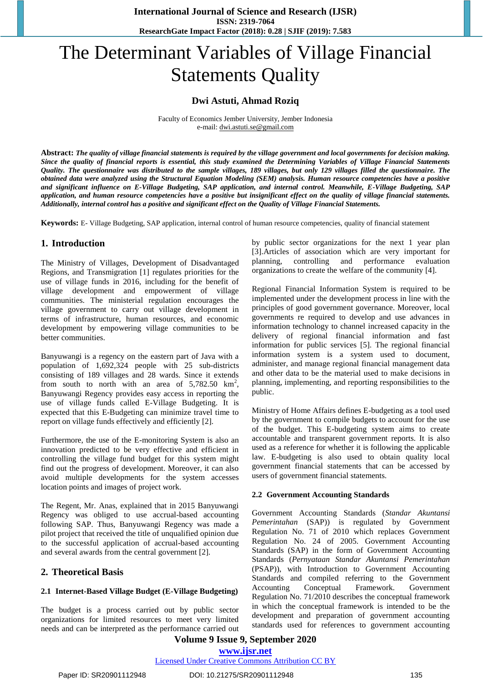# The Determinant Variables of Village Financial Statements Quality

#### **Dwi Astuti, Ahmad Roziq**

Faculty of Economics Jember University, Jember Indonesia e-mail[: dwi.astuti.se@gmail.com](mailto:dwi.astuti.se@gmail.com)

**Abstract:** *The quality of village financial statements is required by the village government and local governments for decision making. Since the quality of financial reports is essential, this study examined the Determining Variables of Village Financial Statements Quality. The questionnaire was distributed to the sample villages, 189 villages, but only 129 villages filled the questionnaire. The obtained data were analyzed using the Structural Equation Modeling (SEM) analysis. Human resource competencies have a positive and significant influence on E-Village Budgeting, SAP application, and internal control. Meanwhile, E-Village Budgeting, SAP application, and human resource competencies have a positive but insignificant effect on the quality of village financial statements. Additionally, internal control has a positive and significant effect on the Quality of Village Financial Statements.*

**Keywords:** E- Village Budgeting, SAP application, internal control of human resource competencies, quality of financial statement

## **1. Introduction**

The Ministry of Villages, Development of Disadvantaged Regions, and Transmigration [1] regulates priorities for the use of village funds in 2016, including for the benefit of village development and empowerment of village communities. The ministerial regulation encourages the village government to carry out village development in terms of infrastructure, human resources, and economic development by empowering village communities to be better communities.

Banyuwangi is a regency on the eastern part of Java with a population of 1,692,324 people with 25 sub-districts consisting of 189 villages and 28 wards. Since it extends from south to north with an area of  $5,782.50 \text{ km}^2$ , Banyuwangi Regency provides easy access in reporting the use of village funds called E-Village Budgeting. It is expected that this E-Budgeting can minimize travel time to report on village funds effectively and efficiently [2].

Furthermore, the use of the E-monitoring System is also an innovation predicted to be very effective and efficient in controlling the village fund budget for this system might find out the progress of development. Moreover, it can also avoid multiple developments for the system accesses location points and images of project work.

The Regent, Mr. Anas, explained that in 2015 Banyuwangi Regency was obliged to use accrual-based accounting following SAP. Thus, Banyuwangi Regency was made a pilot project that received the title of unqualified opinion due to the successful application of accrual-based accounting and several awards from the central government [2].

#### **2. Theoretical Basis**

#### **2.1 Internet-Based Village Budget (E-Village Budgeting)**

The budget is a process carried out by public sector organizations for limited resources to meet very limited needs and can be interpreted as the performance carried out

by public sector organizations for the next 1 year plan [3].Articles of association which are very important for planning, controlling and performance evaluation organizations to create the welfare of the community [4].

Regional Financial Information System is required to be implemented under the development process in line with the principles of good government governance. Moreover, local governments re required to develop and use advances in information technology to channel increased capacity in the delivery of regional financial information and fast information for public services [5]. The regional financial information system is a system used to document, administer, and manage regional financial management data and other data to be the material used to make decisions in planning, implementing, and reporting responsibilities to the public.

Ministry of Home Affairs defines E-budgeting as a tool used by the government to compile budgets to account for the use of the budget. This E-budgeting system aims to create accountable and transparent government reports. It is also used as a reference for whether it is following the applicable law. E-budgeting is also used to obtain quality local government financial statements that can be accessed by users of government financial statements.

#### **2.2 Government Accounting Standards**

Government Accounting Standards (*Standar Akuntansi Pemerintahan* (SAP)) is regulated by Government Regulation No. 71 of 2010 which replaces Government Regulation No. 24 of 2005. Government Accounting Standards (SAP) in the form of Government Accounting Standards (*Pernyataan Standar Akuntansi Pemerintahan* (PSAP)), with Introduction to Government Accounting Standards and compiled referring to the Government Accounting Conceptual Framework. Government Regulation No. 71/2010 describes the conceptual framework in which the conceptual framework is intended to be the development and preparation of government accounting standards used for references to government accounting

**Volume 9 Issue 9, September 2020**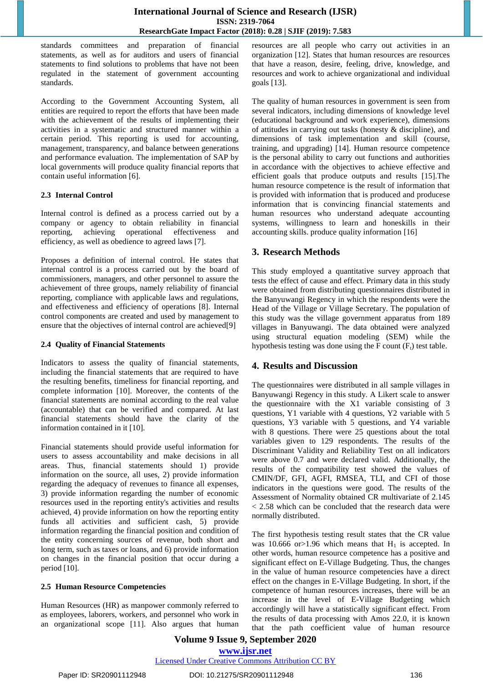standards committees and preparation of financial statements, as well as for auditors and users of financial statements to find solutions to problems that have not been regulated in the statement of government accounting standards.

According to the Government Accounting System, all entities are required to report the efforts that have been made with the achievement of the results of implementing their activities in a systematic and structured manner within a certain period. This reporting is used for accounting, management, transparency, and balance between generations and performance evaluation. The implementation of SAP by local governments will produce quality financial reports that contain useful information [6].

#### **2.3 Internal Control**

Internal control is defined as a process carried out by a company or agency to obtain reliability in financial reporting, achieving operational effectiveness and efficiency, as well as obedience to agreed laws [7].

Proposes a definition of internal control. He states that internal control is a process carried out by the board of commissioners, managers, and other personnel to assure the achievement of three groups, namely reliability of financial reporting, compliance with applicable laws and regulations, and effectiveness and efficiency of operations [8]. Internal control components are created and used by management to ensure that the objectives of internal control are achieved[9]

#### **2.4 Quality of Financial Statements**

Indicators to assess the quality of financial statements, including the financial statements that are required to have the resulting benefits, timeliness for financial reporting, and complete information [10]. Moreover, the contents of the financial statements are nominal according to the real value (accountable) that can be verified and compared. At last financial statements should have the clarity of the information contained in it [10].

Financial statements should provide useful information for users to assess accountability and make decisions in all areas. Thus, financial statements should 1) provide information on the source, all uses, 2) provide information regarding the adequacy of revenues to finance all expenses, 3) provide information regarding the number of economic resources used in the reporting entity's activities and results achieved, 4) provide information on how the reporting entity funds all activities and sufficient cash, 5) provide information regarding the financial position and condition of the entity concerning sources of revenue, both short and long term, such as taxes or loans, and 6) provide information on changes in the financial position that occur during a period [10].

#### **2.5 Human Resource Competencies**

Human Resources (HR) as manpower commonly referred to as employees, laborers, workers, and personnel who work in an organizational scope [11]. Also argues that human resources are all people who carry out activities in an organization [12]. States that human resources are resources that have a reason, desire, feeling, drive, knowledge, and resources and work to achieve organizational and individual goals [13].

The quality of human resources in government is seen from several indicators, including dimensions of knowledge level (educational background and work experience), dimensions of attitudes in carrying out tasks (honesty & discipline), and dimensions of task implementation and skill (course, training, and upgrading) [14]. Human resource competence is the personal ability to carry out functions and authorities in accordance with the objectives to achieve effective and efficient goals that produce outputs and results [15].The human resource competence is the result of information that is provided with information that is produced and producese information that is convincing financial statements and human resources who understand adequate accounting systems, willingness to learn and honeskills in their accounting skills. produce quality information [16]

## **3. Research Methods**

This study employed a quantitative survey approach that tests the effect of cause and effect. Primary data in this study were obtained from distributing questionnaires distributed in the Banyuwangi Regency in which the respondents were the Head of the Village or Village Secretary. The population of this study was the village government apparatus from 189 villages in Banyuwangi. The data obtained were analyzed using structural equation modeling (SEM) while the hypothesis testing was done using the  $F$  count  $(F_t)$  test table.

## **4. Results and Discussion**

The questionnaires were distributed in all sample villages in Banyuwangi Regency in this study. A Likert scale to answer the questionnaire with the X1 variable consisting of 3 questions, Y1 variable with 4 questions, Y2 variable with 5 questions, Y3 variable with 5 questions, and Y4 variable with 8 questions. There were 25 questions about the total variables given to 129 respondents. The results of the Discriminant Validity and Reliability Test on all indicators were above 0.7 and were declared valid. Additionally, the results of the compatibility test showed the values of CMIN/DF, GFI, AGFI, RMSEA, TLI, and CFI of those indicators in the questions were good. The results of the Assessment of Normality obtained CR multivariate of 2.145 < 2.58 which can be concluded that the research data were normally distributed.

The first hypothesis testing result states that the CR value was 10.666 or  $>1.96$  which means that H<sub>1</sub> is accepted. In other words, human resource competence has a positive and significant effect on E-Village Budgeting. Thus, the changes in the value of human resource competencies have a direct effect on the changes in E-Village Budgeting. In short, if the competence of human resources increases, there will be an increase in the level of E-Village Budgeting which accordingly will have a statistically significant effect. From the results of data processing with Amos 22.0, it is known that the path coefficient value of human resource

# **Volume 9 Issue 9, September 2020**

#### **www.ijsr.net** Licensed Under Creative Commons Attribution CC BY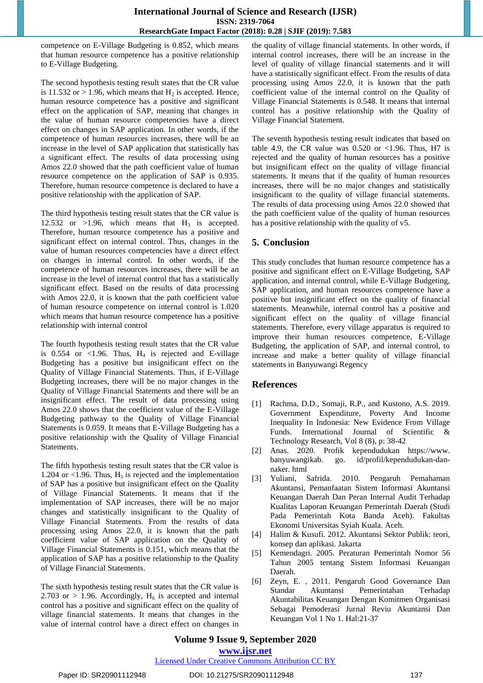competence on E-Village Budgeting is 0.852, which means that human resource competence has a positive relationship to E-Village Budgeting*.*

The second hypothesis testing result states that the CR value is 11.532 or  $> 1.96$ , which means that H<sub>2</sub> is accepted. Hence, human resource competence has a positive and significant effect on the application of SAP, meaning that changes in the value of human resource competencies have a direct effect on changes in SAP application. In other words, if the competence of human resources increases, there will be an increase in the level of SAP application that statistically has a significant effect. The results of data processing using Amos 22.0 showed that the path coefficient value of human resource competence on the application of SAP is 0.935. Therefore, human resource competence is declared to have a positive relationship with the application of SAP*.*

The third hypothesis testing result states that the CR value is 12.532 or  $>1.96$ , which means that  $H_3$  is accepted. Therefore, human resource competence has a positive and significant effect on internal control. Thus, changes in the value of human resources competencies have a direct effect on changes in internal control. In other words, if the competence of human resources increases, there will be an increase in the level of internal control that has a statistically significant effect. Based on the results of data processing with Amos 22.0, it is known that the path coefficient value of human resource competence on internal control is 1.020 which means that human resource competence has a positive relationship with internal control

The fourth hypothesis testing result states that the CR value is 0.554 or <1.96. Thus,  $H_4$  is rejected and E-village Budgeting has a positive but insignificant effect on the Quality of Village Financial Statements. Thus, if E-Village Budgeting increases, there will be no major changes in the Quality of Village Financial Statements and there will be an insignificant effect. The result of data processing using Amos 22.0 shows that the coefficient value of the E-Village Budgeting pathway to the Quality of Village Financial Statements is 0.059. It means that E-Village Budgeting has a positive relationship with the Quality of Village Financial Statements.

The fifth hypothesis testing result states that the CR value is 1.204 or  $\langle$ 1.96. Thus, H<sub>5</sub> is rejected and the implementation of SAP has a positive but insignificant effect on the Quality of Village Financial Statements. It means that if the implementation of SAP increases, there will be no major changes and statistically insignificant to the Quality of Village Financial Statements. From the results of data processing using Amos 22.0, it is known that the path coefficient value of SAP application on the Quality of Village Financial Statements is 0.151, which means that the application of SAP has a positive relationship to the Quality of Village Financial Statements.

The sixth hypothesis testing result states that the CR value is 2.703 or  $> 1.96$ . Accordingly, H<sub>6</sub> is accepted and internal control has a positive and significant effect on the quality of village financial statements. It means that changes in the value of internal control have a direct effect on changes in the quality of village financial statements. In other words, if internal control increases, there will be an increase in the level of quality of village financial statements and it will have a statistically significant effect. From the results of data processing using Amos 22.0, it is known that the path coefficient value of the internal control on the Quality of Village Financial Statements is 0.548. It means that internal control has a positive relationship with the Quality of Village Financial Statement.

The seventh hypothesis testing result indicates that based on table 4.9, the CR value was  $0.520$  or  $< 1.96$ . Thus, H7 is rejected and the quality of human resources has a positive but insignificant effect on the quality of village financial statements. It means that if the quality of human resources increases, there will be no major changes and statistically insignificant to the quality of village financial statements. The results of data processing using Amos 22.0 showed that the path coefficient value of the quality of human resources has a positive relationship with the quality of v5.

# **5. Conclusion**

This study concludes that human resource competence has a positive and significant effect on E-Village Budgeting, SAP application, and internal control, while E-Village Budgeting, SAP application, and human resources competence have a positive but insignificant effect on the quality of financial statements. Meanwhile, internal control has a positive and significant effect on the quality of village financial statements. Therefore, every village apparatus is required to improve their human resources competence, E-Village Budgeting, the application of SAP, and internal control, to increase and make a better quality of village financial statements in Banyuwangi Regency

## **References**

- [1] Rachma, D.D., Somaji, R.P., and Kustono, A.S. 2019. Government Expenditure, Poverty And Income Inequality In Indonesia: New Evidence From Village Funds. International Journal of Scientific & Technology Research, Vol 8 (8), p: 38-42
- [2] Anas. 2020. Profik kependudukan https://www. banyuwangikab. go. id/profil/kependudukan-dannaker. html
- [3] Yuliani, Safrida. 2010. Pengaruh Pemahaman Akuntansi, Pemanfaatan Sistem Informasi Akuntansi Keuangan Daerah Dan Peran Internal Audit Terhadap Kualitas Laporan Keuangan Pemerintah Daerah (Studi Pada Pemerintah Kota Banda Aceh). Fakultas Ekonomi Universitas Syiah Kuala. Aceh.
- Halim & Kusufi. 2012. Akuntansi Sektor Publik: teori, konsep dan aplikasi. Jakarta
- [5] Kemendagri. 2005. Peraturan Pemerintah Nomor 56 Tahun 2005 tentang Sistem Informasi Keuangan Daerah.
- [6] Zeyn, E. , 2011. Pengaruh Good Governance Dan Standar Akuntansi Pemerintahan Terhadap Akuntabilitas Keuangan Dengan Komitmen Organisasi Sebagai Pemoderasi Jurnal Reviu Akuntansi Dan Keuangan Vol 1 No 1. Hal:21-37

# **Volume 9 Issue 9, September 2020**

**www.ijsr.net**

Licensed Under Creative Commons Attribution CC BY